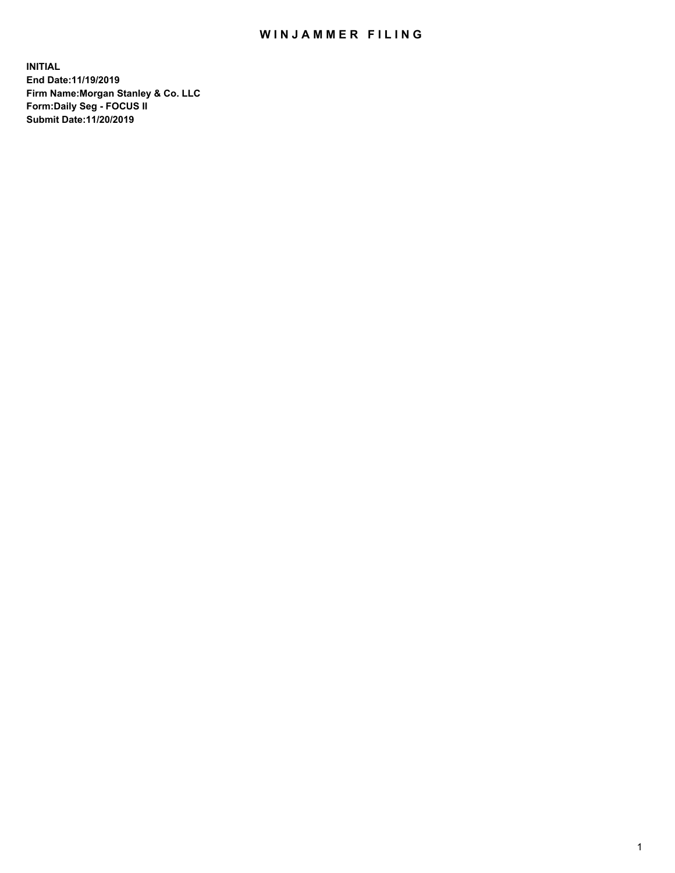## WIN JAMMER FILING

**INITIAL End Date:11/19/2019 Firm Name:Morgan Stanley & Co. LLC Form:Daily Seg - FOCUS II Submit Date:11/20/2019**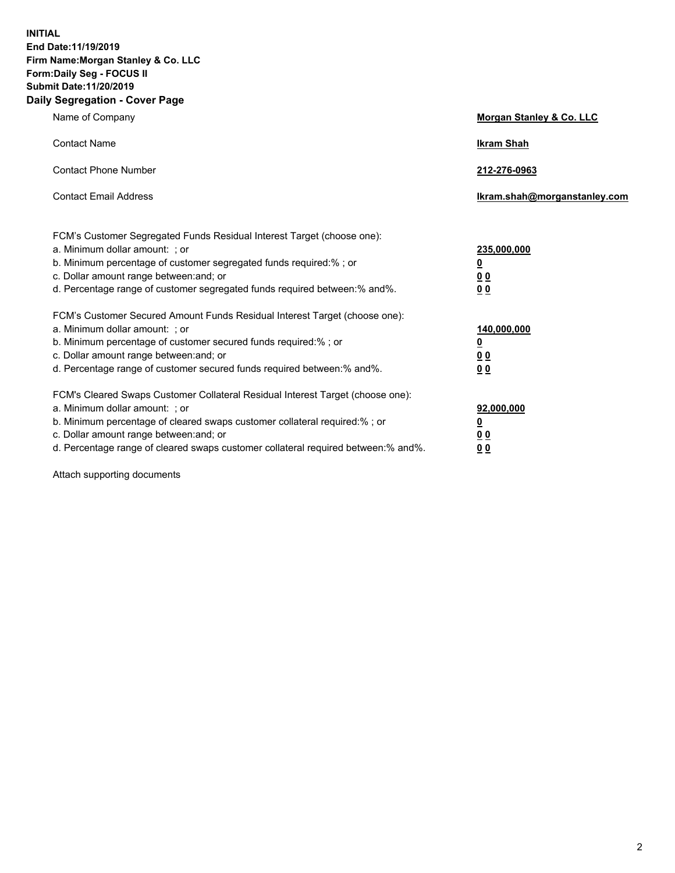**INITIAL End Date:11/19/2019 Firm Name:Morgan Stanley & Co. LLC Form:Daily Seg - FOCUS II Submit Date:11/20/2019 Daily Segregation - Cover Page**

| Name of Company                                                                                                                                                                                                                                                                                                                | Morgan Stanley & Co. LLC                               |
|--------------------------------------------------------------------------------------------------------------------------------------------------------------------------------------------------------------------------------------------------------------------------------------------------------------------------------|--------------------------------------------------------|
| <b>Contact Name</b>                                                                                                                                                                                                                                                                                                            | <b>Ikram Shah</b>                                      |
| <b>Contact Phone Number</b>                                                                                                                                                                                                                                                                                                    | 212-276-0963                                           |
| <b>Contact Email Address</b>                                                                                                                                                                                                                                                                                                   | Ikram.shah@morganstanley.com                           |
| FCM's Customer Segregated Funds Residual Interest Target (choose one):<br>a. Minimum dollar amount: ; or<br>b. Minimum percentage of customer segregated funds required:% ; or<br>c. Dollar amount range between: and; or<br>d. Percentage range of customer segregated funds required between:% and%.                         | 235,000,000<br><u>0</u><br>00<br>00                    |
| FCM's Customer Secured Amount Funds Residual Interest Target (choose one):<br>a. Minimum dollar amount: ; or<br>b. Minimum percentage of customer secured funds required:%; or<br>c. Dollar amount range between: and; or<br>d. Percentage range of customer secured funds required between: % and %.                          | 140,000,000<br><u>0</u><br><u>00</u><br>0 <sub>0</sub> |
| FCM's Cleared Swaps Customer Collateral Residual Interest Target (choose one):<br>a. Minimum dollar amount: ; or<br>b. Minimum percentage of cleared swaps customer collateral required:% ; or<br>c. Dollar amount range between: and; or<br>d. Percentage range of cleared swaps customer collateral required between:% and%. | 92,000,000<br><u>0</u><br>0 Q<br>00                    |

Attach supporting documents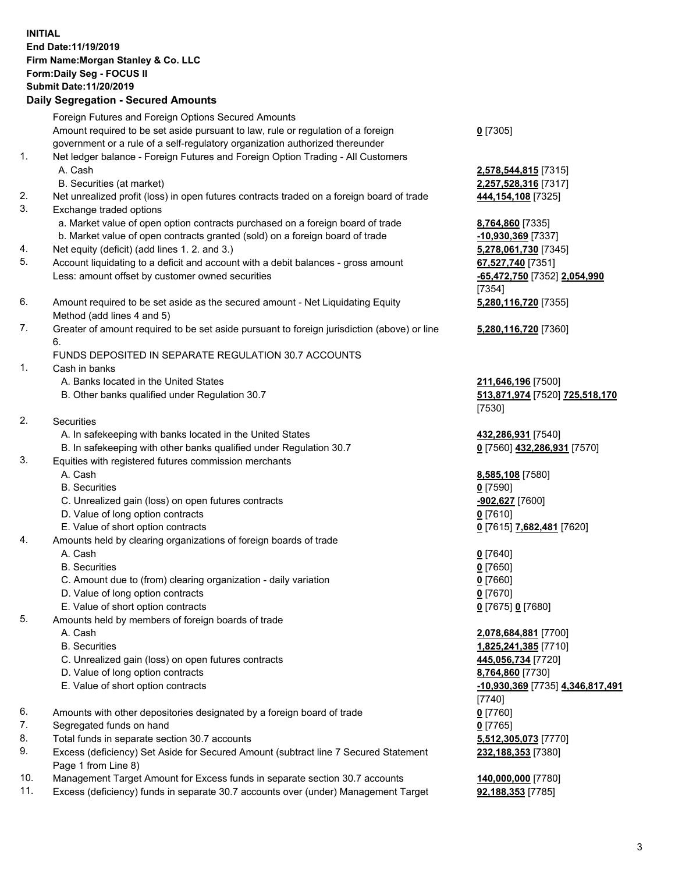## **INITIAL End Date:11/19/2019 Firm Name:Morgan Stanley & Co. LLC Form:Daily Seg - FOCUS II Submit Date:11/20/2019**

**Daily Segregation - Secured Amounts** Foreign Futures and Foreign Options Secured Amounts Amount required to be set aside pursuant to law, rule or regulation of a foreign government or a rule of a self-regulatory organization authorized thereunder 1. Net ledger balance - Foreign Futures and Foreign Option Trading - All Customers A. Cash **2,578,544,815** [7315] B. Securities (at market) **2,257,528,316** [7317] 2. Net unrealized profit (loss) in open futures contracts traded on a foreign board of trade **444,154,108** [7325] 3. Exchange traded options a. Market value of open option contracts purchased on a foreign board of trade **8,764,860** [7335] b. Market value of open contracts granted (sold) on a foreign board of trade **-10,930,369** [7337] 4. Net equity (deficit) (add lines 1. 2. and 3.) **5,278,061,730** [7345] 5. Account liquidating to a deficit and account with a debit balances - gross amount **67,527,740** [7351] Less: amount offset by customer owned securities **-65,472,750** [7352] **2,054,990** 6. Amount required to be set aside as the secured amount - Net Liquidating Equity Method (add lines 4 and 5) 7. Greater of amount required to be set aside pursuant to foreign jurisdiction (above) or line 6. FUNDS DEPOSITED IN SEPARATE REGULATION 30.7 ACCOUNTS 1. Cash in banks A. Banks located in the United States **211,646,196** [7500] B. Other banks qualified under Regulation 30.7 **513,871,974** [7520] **725,518,170** 2. Securities A. In safekeeping with banks located in the United States **432,286,931** [7540] B. In safekeeping with other banks qualified under Regulation 30.7 **0** [7560] **432,286,931** [7570] 3. Equities with registered futures commission merchants A. Cash **8,585,108** [7580] B. Securities **0** [7590] C. Unrealized gain (loss) on open futures contracts **-902,627** [7600] D. Value of long option contracts **0** [7610] E. Value of short option contracts **0** [7615] **7,682,481** [7620] 4. Amounts held by clearing organizations of foreign boards of trade A. Cash **0** [7640] B. Securities **0** [7650] C. Amount due to (from) clearing organization - daily variation **0** [7660] D. Value of long option contracts **0** [7670] E. Value of short option contracts **0** [7675] **0** [7680]

- 5. Amounts held by members of foreign boards of trade
	-
	-
	- C. Unrealized gain (loss) on open futures contracts **445,056,734** [7720]
	- D. Value of long option contracts **8,764,860** [7730]
	- E. Value of short option contracts **-10,930,369** [7735] **4,346,817,491**
- 6. Amounts with other depositories designated by a foreign board of trade **0** [7760]
- 7. Segregated funds on hand **0** [7765]
- 8. Total funds in separate section 30.7 accounts **5,512,305,073** [7770]
- 9. Excess (deficiency) Set Aside for Secured Amount (subtract line 7 Secured Statement Page 1 from Line 8)
- 10. Management Target Amount for Excess funds in separate section 30.7 accounts **140,000,000** [7780]
- 11. Excess (deficiency) funds in separate 30.7 accounts over (under) Management Target **92,188,353** [7785]

**0** [7305]

[7354] **5,280,116,720** [7355]

**5,280,116,720** [7360]

[7530]

 A. Cash **2,078,684,881** [7700] B. Securities **1,825,241,385** [7710] [7740] **232,188,353** [7380]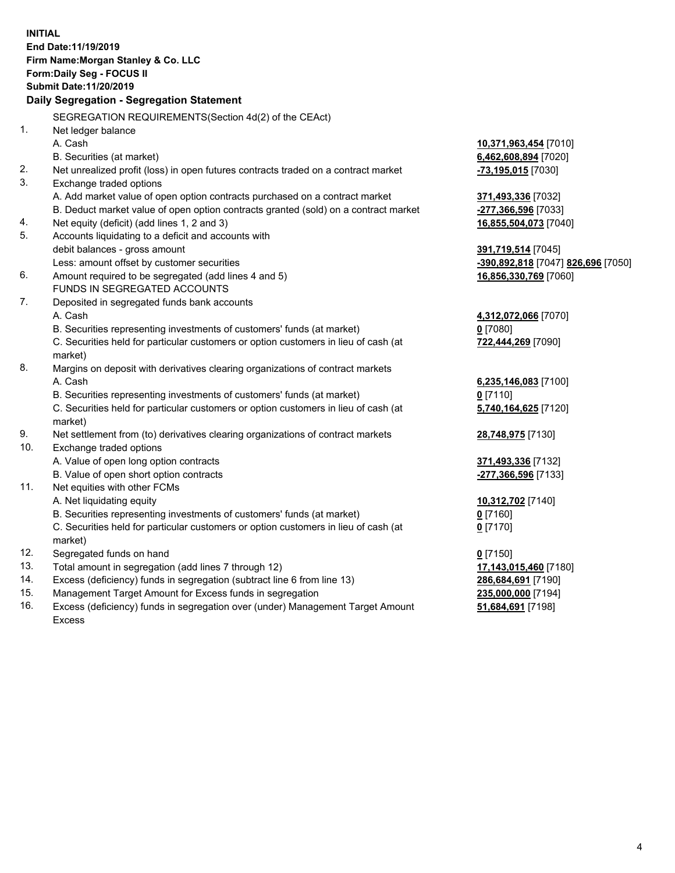|          | <b>INITIAL</b><br>End Date: 11/19/2019<br>Firm Name: Morgan Stanley & Co. LLC<br>Form: Daily Seg - FOCUS II<br>Submit Date: 11/20/2019 |                                                          |
|----------|----------------------------------------------------------------------------------------------------------------------------------------|----------------------------------------------------------|
|          | Daily Segregation - Segregation Statement                                                                                              |                                                          |
|          | SEGREGATION REQUIREMENTS(Section 4d(2) of the CEAct)                                                                                   |                                                          |
| 1.       | Net ledger balance                                                                                                                     |                                                          |
|          | A. Cash                                                                                                                                | 10,371,963,454 [7010]                                    |
|          | B. Securities (at market)                                                                                                              | 6,462,608,894 [7020]                                     |
| 2.       | Net unrealized profit (loss) in open futures contracts traded on a contract market                                                     | -73,195,015 [7030]                                       |
| 3.       | Exchange traded options                                                                                                                |                                                          |
|          | A. Add market value of open option contracts purchased on a contract market                                                            | 371,493,336 [7032]                                       |
|          | B. Deduct market value of open option contracts granted (sold) on a contract market                                                    | <u>-277,366,596</u> [7033]                               |
| 4.<br>5. | Net equity (deficit) (add lines 1, 2 and 3)                                                                                            | 16,855,504,073 [7040]                                    |
|          | Accounts liquidating to a deficit and accounts with                                                                                    |                                                          |
|          | debit balances - gross amount<br>Less: amount offset by customer securities                                                            | 391,719,514 [7045]<br>-390,892,818 [7047] 826,696 [7050] |
| 6.       | Amount required to be segregated (add lines 4 and 5)                                                                                   | 16,856,330,769 [7060]                                    |
|          | FUNDS IN SEGREGATED ACCOUNTS                                                                                                           |                                                          |
| 7.       | Deposited in segregated funds bank accounts                                                                                            |                                                          |
|          | A. Cash                                                                                                                                | 4,312,072,066 [7070]                                     |
|          | B. Securities representing investments of customers' funds (at market)                                                                 | $0$ [7080]                                               |
|          | C. Securities held for particular customers or option customers in lieu of cash (at                                                    | 722,444,269 [7090]                                       |
|          | market)                                                                                                                                |                                                          |
| 8.       | Margins on deposit with derivatives clearing organizations of contract markets                                                         |                                                          |
|          | A. Cash                                                                                                                                | 6,235,146,083 [7100]                                     |
|          | B. Securities representing investments of customers' funds (at market)                                                                 | $0$ [7110]                                               |
|          | C. Securities held for particular customers or option customers in lieu of cash (at                                                    | 5,740,164,625 [7120]                                     |
|          | market)                                                                                                                                |                                                          |
| 9.       | Net settlement from (to) derivatives clearing organizations of contract markets                                                        | 28,748,975 [7130]                                        |
| 10.      | Exchange traded options                                                                                                                |                                                          |
|          | A. Value of open long option contracts                                                                                                 | 371,493,336 [7132]                                       |
|          | B. Value of open short option contracts                                                                                                | <u>-277,366,596</u> [7133]                               |
| 11.      | Net equities with other FCMs                                                                                                           |                                                          |
|          | A. Net liquidating equity                                                                                                              | 10,312,702 [7140]                                        |
|          | B. Securities representing investments of customers' funds (at market)                                                                 | 0 [7160]                                                 |
|          | C. Securities held for particular customers or option customers in lieu of cash (at                                                    | $0$ [7170]                                               |
|          | market)                                                                                                                                |                                                          |
| 12.      | Segregated funds on hand                                                                                                               | $0$ [7150]                                               |
| 13.      | Total amount in segregation (add lines 7 through 12)                                                                                   | 17,143,015,460 [7180]                                    |
| 14.      | Excess (deficiency) funds in segregation (subtract line 6 from line 13)                                                                | 286,684,691 [7190]                                       |
| 15.      | Management Target Amount for Excess funds in segregation                                                                               | 235,000,000 [7194]                                       |
| 16.      | Excess (deficiency) funds in segregation over (under) Management Target Amount                                                         | 51,684,691 [7198]                                        |

16. Excess (deficiency) funds in segregation over (under) Management Target Amount Excess